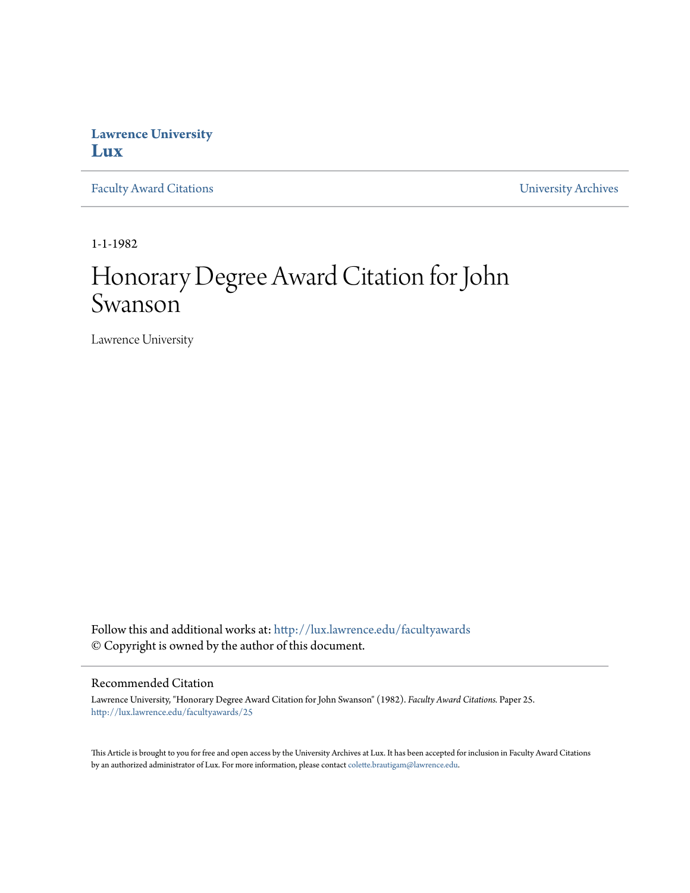## **Lawrence University [Lux](http://lux.lawrence.edu?utm_source=lux.lawrence.edu%2Ffacultyawards%2F25&utm_medium=PDF&utm_campaign=PDFCoverPages)**

[Faculty Award Citations](http://lux.lawrence.edu/facultyawards?utm_source=lux.lawrence.edu%2Ffacultyawards%2F25&utm_medium=PDF&utm_campaign=PDFCoverPages) **Example 2018** [University Archives](http://lux.lawrence.edu/archives?utm_source=lux.lawrence.edu%2Ffacultyawards%2F25&utm_medium=PDF&utm_campaign=PDFCoverPages)

1-1-1982

# Honorary Degree Award Citation for John Swanson

Lawrence University

Follow this and additional works at: [http://lux.lawrence.edu/facultyawards](http://lux.lawrence.edu/facultyawards?utm_source=lux.lawrence.edu%2Ffacultyawards%2F25&utm_medium=PDF&utm_campaign=PDFCoverPages) © Copyright is owned by the author of this document.

#### Recommended Citation

Lawrence University, "Honorary Degree Award Citation for John Swanson" (1982). *Faculty Award Citations.* Paper 25. [http://lux.lawrence.edu/facultyawards/25](http://lux.lawrence.edu/facultyawards/25?utm_source=lux.lawrence.edu%2Ffacultyawards%2F25&utm_medium=PDF&utm_campaign=PDFCoverPages)

This Article is brought to you for free and open access by the University Archives at Lux. It has been accepted for inclusion in Faculty Award Citations by an authorized administrator of Lux. For more information, please contact [colette.brautigam@lawrence.edu](mailto:colette.brautigam@lawrence.edu).